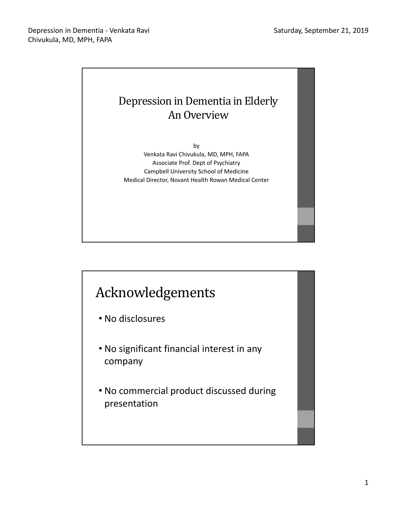

# Acknowledgements

- No disclosures
- No significant financial interest in any company
- No commercial product discussed during presentation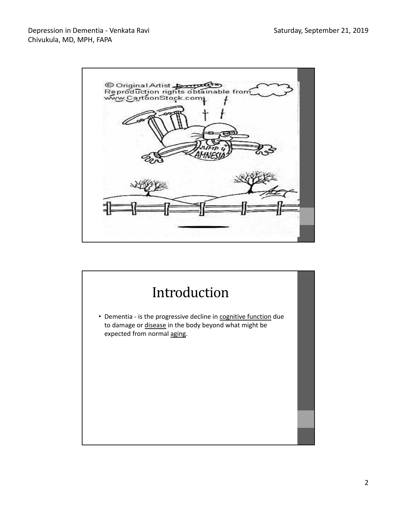

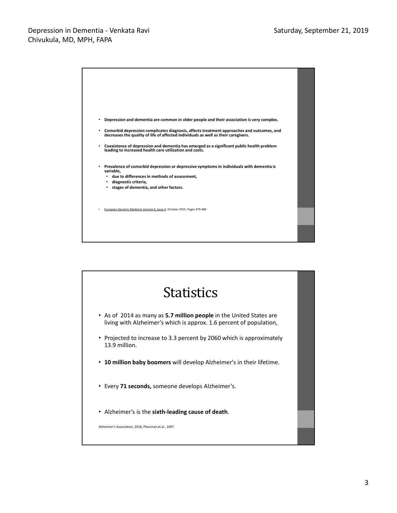

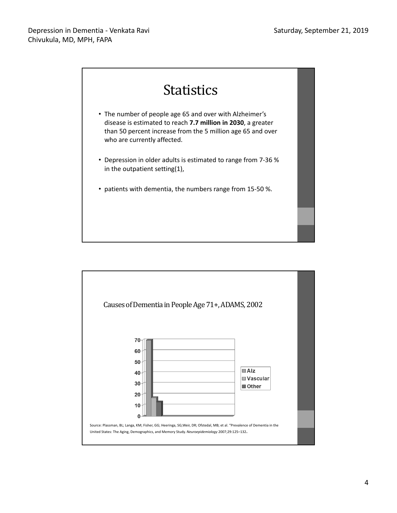

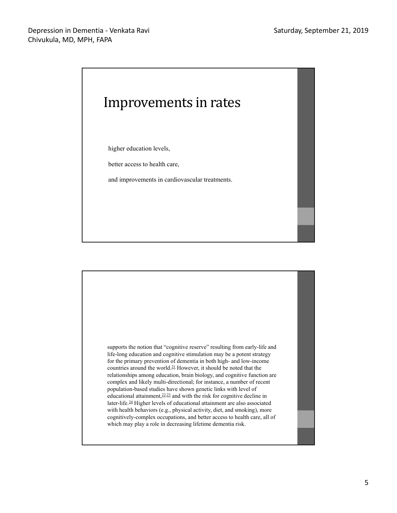

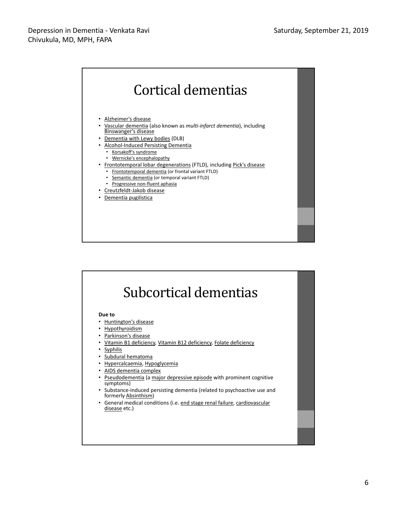

| Due to     |                                                                                                  |
|------------|--------------------------------------------------------------------------------------------------|
|            | Huntington's disease                                                                             |
|            | • Hypothyroidism                                                                                 |
|            | Parkinson's disease                                                                              |
|            | <u>Vitamin B1 deficiency, Vitamin B12 deficiency, Folate deficiency</u>                          |
| • Syphilis |                                                                                                  |
|            | • Subdural hematoma                                                                              |
|            | Hypercalcaemia, Hypoglycemia                                                                     |
|            | • AIDS dementia complex                                                                          |
|            | <b>Pseudodementia (a major depressive episode with prominent cognitive</b><br>symptoms)          |
|            | • Substance-induced persisting dementia (related to psychoactive use and<br>formerly Absinthism) |
|            | • General medical conditions (i.e. end stage renal failure, cardiovascular<br>disease etc.)      |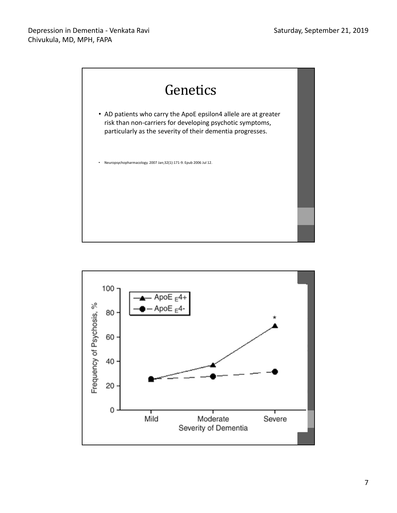

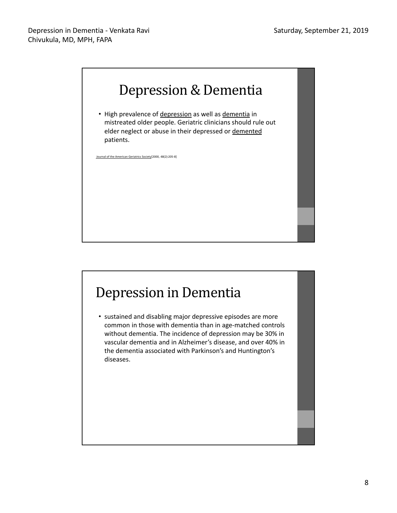

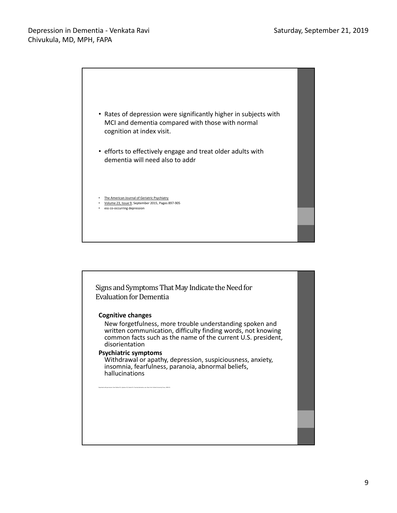

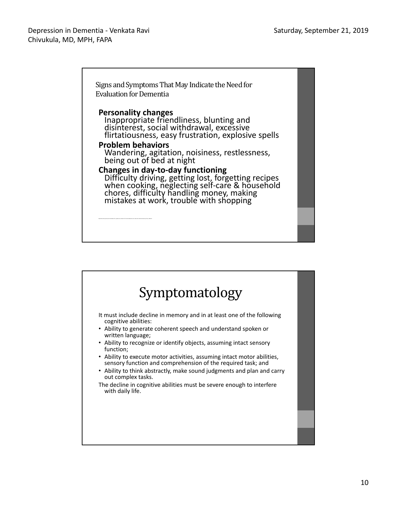Signs and Symptoms That May Indicate the Need for Evaluation for Dementia **Personality changes** Inappropriate friendliness, blunting and disinterest, social withdrawal, excessive flirtatiousness, easy frustration, explosive spells **Problem behaviors** Wandering, agitation, noisiness, restlessness, being out of bed at night **Changes in day-to-day functioning** Difficulty driving, getting lost, forgetting recipes when cooking, neglecting self-care & household chores, difficulty handling money, making mistakes at work, trouble with shopping

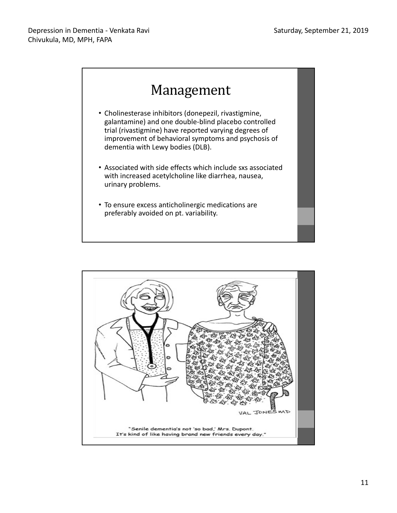

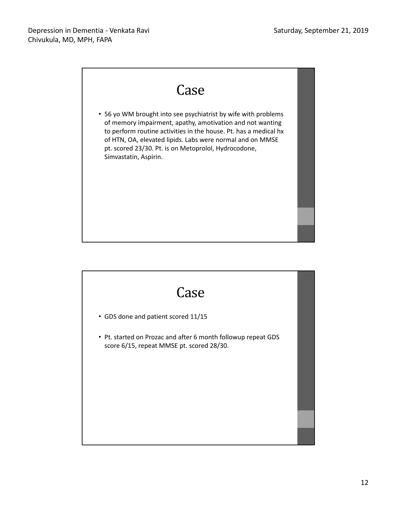

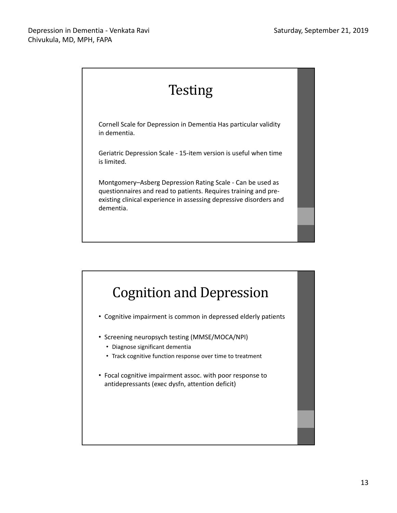

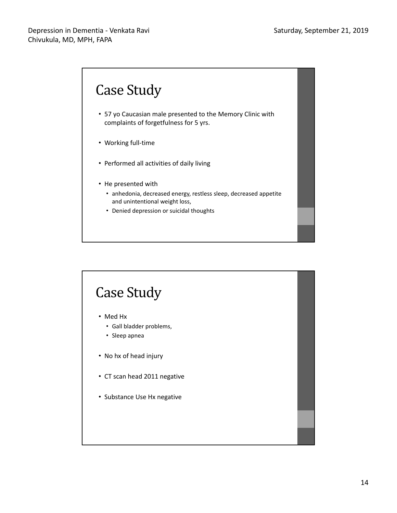

## Case Study

- Med Hx
	- Gall bladder problems,
	- Sleep apnea
- No hx of head injury
- CT scan head 2011 negative
- Substance Use Hx negative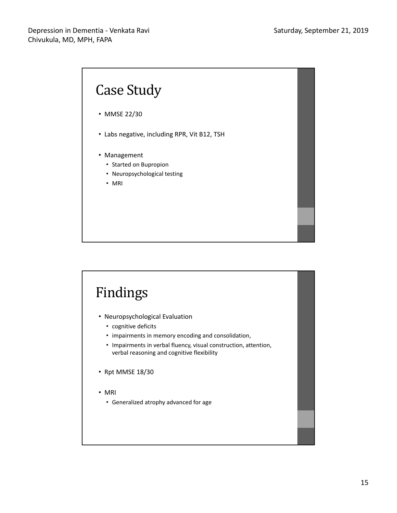

# Findings

- Neuropsychological Evaluation
	- cognitive deficits
	- impairments in memory encoding and consolidation,
	- Impairments in verbal fluency, visual construction, attention, verbal reasoning and cognitive flexibility
- Rpt MMSE 18/30
- MRI
	- Generalized atrophy advanced for age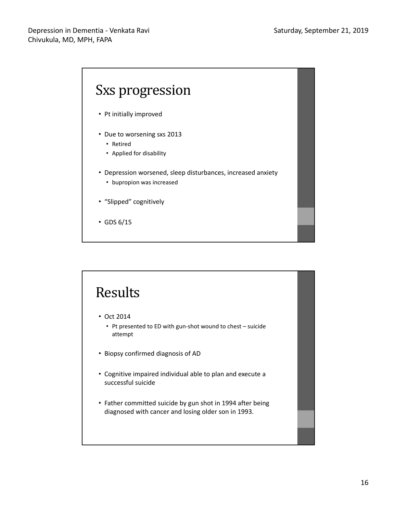#### Depression in Dementia - Venkata Ravi Chivukula, MD, MPH, FAPA



# Results

- Oct 2014
	- Pt presented to ED with gun-shot wound to chest suicide attempt
- Biopsy confirmed diagnosis of AD
- Cognitive impaired individual able to plan and execute a successful suicide
- Father committed suicide by gun shot in 1994 after being diagnosed with cancer and losing older son in 1993.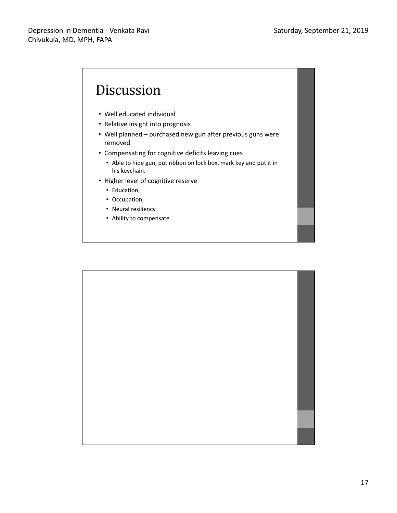

- Well educated individual
- Relative insight into prognosis
- Well planned purchased new gun after previous guns were removed
- Compensating for cognitive deficits leaving cues
	- Able to hide gun, put ribbon on lock box, mark key and put it in his keychain.
- Higher level of cognitive reserve
	- Education,
	- Occupation,
	- Neural resiliency
	- Ability to compensate

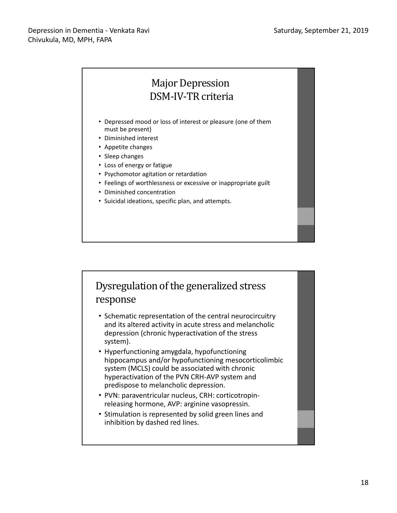### Major Depression DSM-IV-TR criteria

- Depressed mood or loss of interest or pleasure (one of them must be present)
- Diminished interest
- Appetite changes
- Sleep changes
- Loss of energy or fatigue
- Psychomotor agitation or retardation
- Feelings of worthlessness or excessive or inappropriate guilt
- Diminished concentration
- Suicidal ideations, specific plan, and attempts.

#### Dysregulation of the generalized stress response

- Schematic representation of the central neurocircuitry and its altered activity in acute stress and melancholic depression (chronic hyperactivation of the stress system).
- Hyperfunctioning amygdala, hypofunctioning hippocampus and/or hypofunctioning mesocorticolimbic system (MCLS) could be associated with chronic hyperactivation of the PVN CRH-AVP system and predispose to melancholic depression.
- PVN: paraventricular nucleus, CRH: corticotropinreleasing hormone, AVP: arginine vasopressin.
- Stimulation is represented by solid green lines and inhibition by dashed red lines.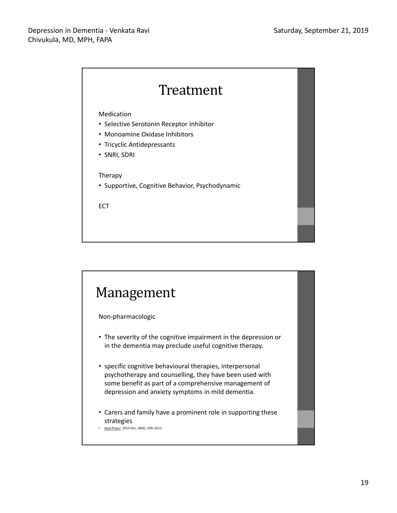

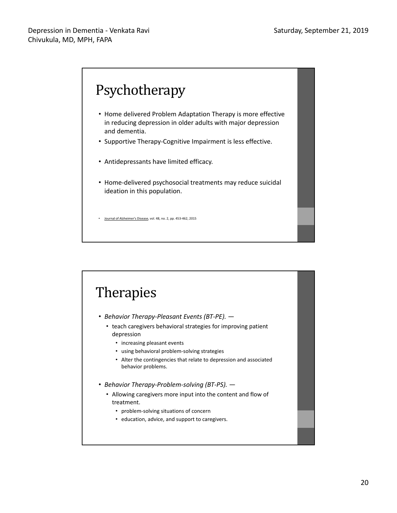

### Therapies • *Behavior Therapy-Pleasant Events (BT-PE).* — • teach caregivers behavioral strategies for improving patient depression • increasing pleasant events • using behavioral problem-solving strategies • Alter the contingencies that relate to depression and associated behavior problems. • *Behavior Therapy-Problem-solving (BT-PS).* — • Allowing caregivers more input into the content and flow of treatment. • problem-solving situations of concern • education, advice, and support to caregivers.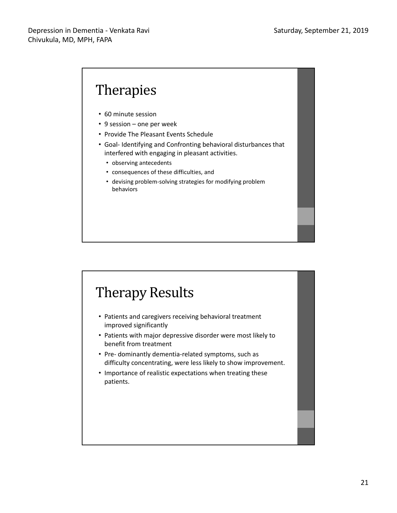# **Therapies**

- 60 minute session
- 9 session one per week
- Provide The Pleasant Events Schedule
- Goal- Identifying and Confronting behavioral disturbances that interfered with engaging in pleasant activities.
	- observing antecedents
	- consequences of these difficulties, and
	- devising problem-solving strategies for modifying problem behaviors

### Therapy Results

- Patients and caregivers receiving behavioral treatment improved significantly
- Patients with major depressive disorder were most likely to benefit from treatment
- Pre- dominantly dementia-related symptoms, such as difficulty concentrating, were less likely to show improvement.
- Importance of realistic expectations when treating these patients.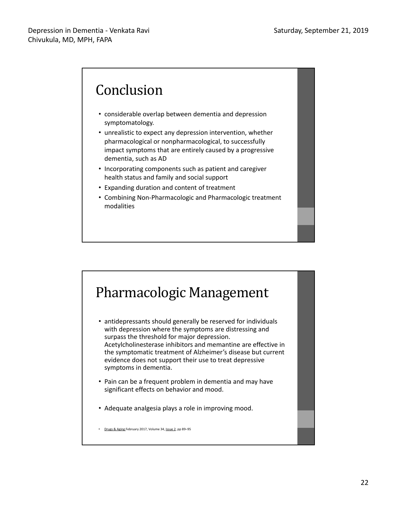### Conclusion

- considerable overlap between dementia and depression symptomatology.
- unrealistic to expect any depression intervention, whether pharmacological or nonpharmacological, to successfully impact symptoms that are entirely caused by a progressive dementia, such as AD
- Incorporating components such as patient and caregiver health status and family and social support
- Expanding duration and content of treatment
- Combining Non-Pharmacologic and Pharmacologic treatment modalities

## Pharmacologic Management

- antidepressants should generally be reserved for individuals with depression where the symptoms are distressing and surpass the threshold for major depression. Acetylcholinesterase inhibitors and memantine are effective in the symptomatic treatment of Alzheimer's disease but current evidence does not support their use to treat depressive symptoms in dementia.
- Pain can be a frequent problem in dementia and may have significant effects on behavior and mood.
- Adequate analgesia plays a role in improving mood.

• Drugs & Aging February 2017, Volume 34, Issue 2, pp 89–95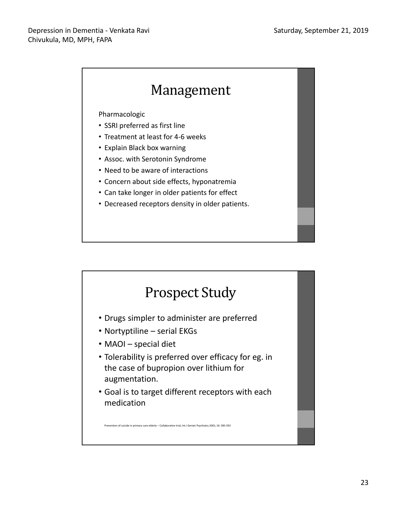

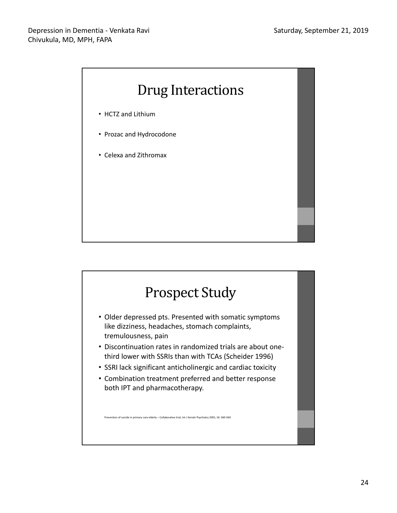

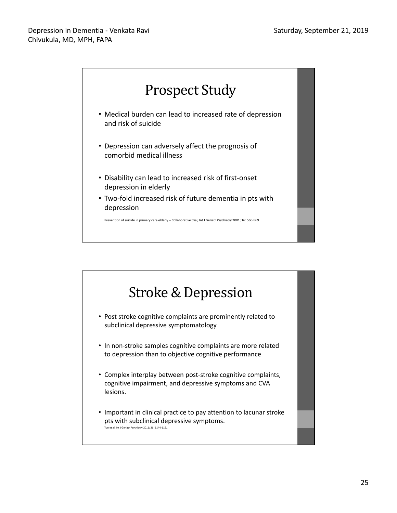

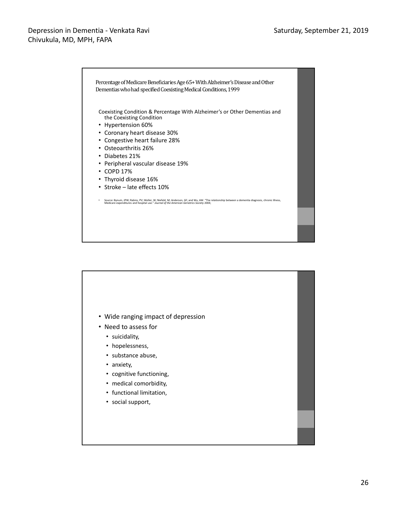#### Depression in Dementia - Venkata Ravi Chivukula, MD, MPH, FAPA